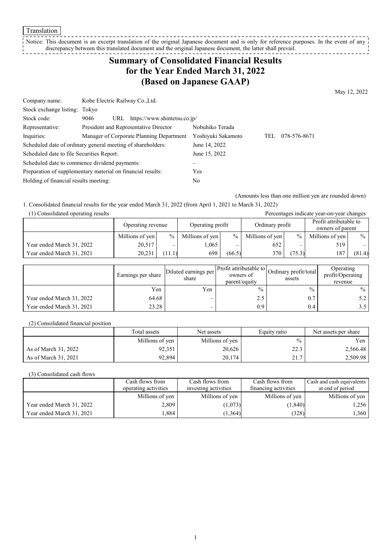Translation

#### Notice: This document is an excerpt translation of the original Japanese document and is only for reference purposes. In the event of any discrepancy between this translated document and the original Japanese document, the latter shall prevail.

# **Summary of Consolidated Financial Results for the Year Ended March 31, 2022 (Based on Japanese GAAP)**

May 12, 2022

| Company name:                                               | Kobe Electric Railway Co., Ltd.                             |                    |     |              |
|-------------------------------------------------------------|-------------------------------------------------------------|--------------------|-----|--------------|
| Stock exchange listing: Tokyo                               |                                                             |                    |     |              |
| Stock code:                                                 | URL https://www.shintetsu.co.jp/<br>9046                    |                    |     |              |
| Representative:                                             | President and Representative Director                       | Nobuhiko Terada    |     |              |
| Inquiries:                                                  | Manager of Corporate Planning Department                    | Yoshiyuki Sakamoto | TEL | 078-576-8671 |
|                                                             | Scheduled date of ordinary general meeting of shareholders: | June 14, 2022      |     |              |
| Scheduled date to file Securities Report:                   |                                                             | June 15, 2022      |     |              |
| Scheduled date to commence dividend payments:               |                                                             |                    |     |              |
| Preparation of supplementary material on financial results: |                                                             | Yes                |     |              |
| Holding of financial results meeting:                       |                                                             | No                 |     |              |

(Amounts less than one million yen are rounded down)

1. Consolidated financial results for the year ended March 31, 2022 (from April 1, 2021 to March 31, 2022)

(1) Consolidated operating results Percentages indicate year-on-year changes Operating revenue Operating profit Ordinary profit Profit attributable to owners of parent Millions of yen  $\begin{vmatrix} 0 & 0 \\ 0 & 0 \end{vmatrix}$  Millions of yen  $\begin{vmatrix} 0 & 0 \\ 0 & 0 \end{vmatrix}$  Millions of yen  $\begin{vmatrix} 0 & 0 \\ 0 & 0 \end{vmatrix}$ Year ended March 31, 2022  $20.517$   $1,065$   $652$   $519$ Year ended March 31, 2021 | 20,231 | (11.1) 698 | (66.5) 370 | (75.3) 187 | (81.4

|                           | Earnings per share | Diluted earnings per<br>share | owners of<br>parent/equity | Profit attributable to Ordinary profit/total<br>assets | Operating<br>profit/Operating<br>revenue |
|---------------------------|--------------------|-------------------------------|----------------------------|--------------------------------------------------------|------------------------------------------|
|                           | Yen                | Yen                           | $\frac{0}{0}$              | $\frac{0}{0}$                                          | $\%$                                     |
| Year ended March 31, 2022 | 64.68              |                               | 2.5                        | 0.7                                                    | 5.2                                      |
| Year ended March 31, 2021 | 23.28              |                               | 0.9                        | 0.4                                                    | 3.5                                      |

(2) Consolidated financial position

|                      | Total assets    | Net assets      | Equity ratio | Net assets per share |
|----------------------|-----------------|-----------------|--------------|----------------------|
|                      | Millions of yen | Millions of yen | $\%$         | Yen                  |
| As of March 31, 2022 | 92,351          | 20,626          | າາາ<br>د. ۷  | 2,566.48             |
| As of March 31, 2021 | 92.894          | 20,174          | 217<br>41.I  | 2,509.98             |

(3) Consolidated cash flows

|                           | Cash flows from      | Cash flows from      | Cash flows from      | Cash and cash equivalents |
|---------------------------|----------------------|----------------------|----------------------|---------------------------|
|                           | operating activities | investing activities | financing activities | at end of period          |
|                           | Millions of yen      | Millions of yen      | Millions of yen      | Millions of yen           |
| Year ended March 31, 2022 | 2,809                | (1,073)              | (1, 840)             | 1,256                     |
| Year ended March 31, 2021 | .884                 | (1, 364)             | (328)                | 1,360                     |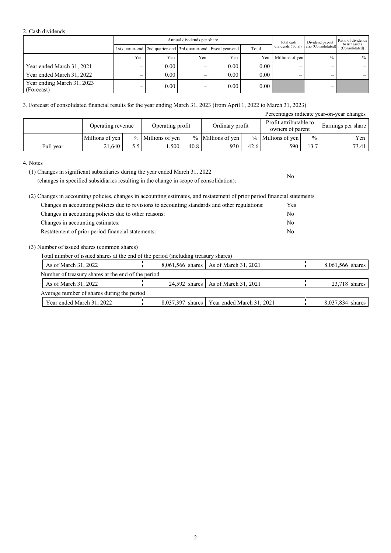#### 2. Cash dividends

|                                          |     | Annual dividends per share                                            |                          |          |       |                          | Dividend payout                        | Ratio of dividends<br>to net assets |
|------------------------------------------|-----|-----------------------------------------------------------------------|--------------------------|----------|-------|--------------------------|----------------------------------------|-------------------------------------|
|                                          |     | 1st quarter-end   2nd quarter-end   3rd quarter-end   Fiscal year-end |                          |          | Total |                          | dividends (Total) ratio (Consolidated) | (Consolidated)                      |
|                                          | Yen | Yen                                                                   | Yen                      | Yen      | Yen   | Millions of yen          | $\frac{0}{0}$                          | $\%$                                |
| Year ended March 31, 2021                | —   | 0.00                                                                  | $\overline{\phantom{0}}$ | $0.00\,$ | 0.00  | $\overline{\phantom{0}}$ |                                        |                                     |
| Year ended March 31, 2022                | –   | 0.00                                                                  | –                        | $0.00\,$ | 0.00  | –                        | _                                      |                                     |
| Year ending March 31, 2023<br>(Forecast) | —   | 0.00                                                                  | –                        | $0.00\,$ | 0.00  |                          | –                                      |                                     |

3. Forecast of consolidated financial results for the year ending March 31, 2023 (from April 1, 2022 to March 31, 2023)

| Percentages indicate year-on-year changes |                   |     |                     |      |                     |      |                                            |               |       |                    |
|-------------------------------------------|-------------------|-----|---------------------|------|---------------------|------|--------------------------------------------|---------------|-------|--------------------|
|                                           | Operating revenue |     | Operating profit    |      | Ordinary profit     |      | Profit attributable to<br>owners of parent |               |       | Earnings per share |
|                                           | Millions of yen   |     | $%$ Millions of yen |      | $%$ Millions of yen |      | $%$ Millions of yen                        | $\frac{0}{0}$ | Yen   |                    |
| Full year                                 | 21.640            | 5.5 | .500                | 40.8 | 930                 | 42.6 | 590                                        | 13.7          | 73.41 |                    |

No

4. Notes

(1) Changes in significant subsidiaries during the year ended March 31, 2022 (changes in specified subsidiaries resulting in the change in scope of consolidation):

(2) Changes in accounting policies, changes in accounting estimates, and restatement of prior period financial statements

| Changes in accounting policies due to revisions to accounting standards and other regulations: | Yes |
|------------------------------------------------------------------------------------------------|-----|
| Changes in accounting policies due to other reasons:                                           | No. |
| Changes in accounting estimates:                                                               | No. |
| Restatement of prior period financial statements:                                              | No. |

(3) Number of issued shares (common shares)

Total number of issued shares at the end of the period (including treasury shares)

| As of March 31, 2022                               |  | 8,061,566 shares   As of March 31, 2021      | 8,061,566 shares |
|----------------------------------------------------|--|----------------------------------------------|------------------|
| Number of treasury shares at the end of the period |  |                                              |                  |
| As of March 31, 2022                               |  | 24.592 shares As of March 31, 2021           | $23,718$ shares  |
| Average number of shares during the period         |  |                                              |                  |
| Year ended March 31, 2022                          |  | 8,037,397 shares   Year ended March 31, 2021 | 8,037,834 shares |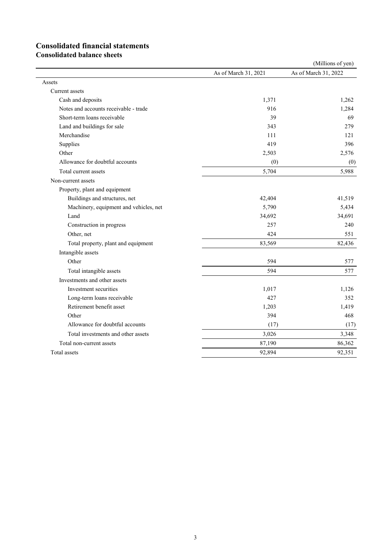# **Consolidated financial statements**

**Consolidated balance sheets**

|                                        |                      | (Millions of yen)    |
|----------------------------------------|----------------------|----------------------|
|                                        | As of March 31, 2021 | As of March 31, 2022 |
| Assets                                 |                      |                      |
| Current assets                         |                      |                      |
| Cash and deposits                      | 1,371                | 1,262                |
| Notes and accounts receivable - trade  | 916                  | 1,284                |
| Short-term loans receivable            | 39                   | 69                   |
| Land and buildings for sale            | 343                  | 279                  |
| Merchandise                            | 111                  | 121                  |
| Supplies                               | 419                  | 396                  |
| Other                                  | 2,503                | 2,576                |
| Allowance for doubtful accounts        | (0)                  | (0)                  |
| Total current assets                   | 5,704                | 5,988                |
| Non-current assets                     |                      |                      |
| Property, plant and equipment          |                      |                      |
| Buildings and structures, net          | 42,404               | 41,519               |
| Machinery, equipment and vehicles, net | 5,790                | 5,434                |
| Land                                   | 34,692               | 34,691               |
| Construction in progress               | 257                  | 240                  |
| Other, net                             | 424                  | 551                  |
| Total property, plant and equipment    | 83,569               | 82,436               |
| Intangible assets                      |                      |                      |
| Other                                  | 594                  | 577                  |
| Total intangible assets                | 594                  | 577                  |
| Investments and other assets           |                      |                      |
| Investment securities                  | 1,017                | 1,126                |
| Long-term loans receivable             | 427                  | 352                  |
| Retirement benefit asset               | 1,203                | 1,419                |
| Other                                  | 394                  | 468                  |
| Allowance for doubtful accounts        | (17)                 | (17)                 |
| Total investments and other assets     | 3,026                | 3,348                |
| Total non-current assets               | 87,190               | 86,362               |
| Total assets                           | 92,894               | 92,351               |
|                                        |                      |                      |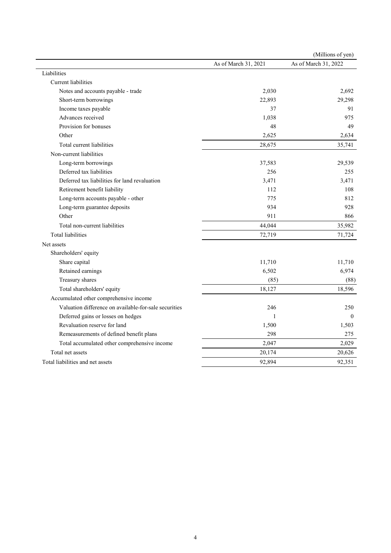|                                                       |                      | (Millions of yen)    |
|-------------------------------------------------------|----------------------|----------------------|
|                                                       | As of March 31, 2021 | As of March 31, 2022 |
| Liabilities                                           |                      |                      |
| Current liabilities                                   |                      |                      |
| Notes and accounts payable - trade                    | 2,030                | 2,692                |
| Short-term borrowings                                 | 22,893               | 29,298               |
| Income taxes payable                                  | 37                   | 91                   |
| Advances received                                     | 1,038                | 975                  |
| Provision for bonuses                                 | 48                   | 49                   |
| Other                                                 | 2,625                | 2,634                |
| Total current liabilities                             | 28,675               | 35,741               |
| Non-current liabilities                               |                      |                      |
| Long-term borrowings                                  | 37,583               | 29,539               |
| Deferred tax liabilities                              | 256                  | 255                  |
| Deferred tax liabilities for land revaluation         | 3,471                | 3,471                |
| Retirement benefit liability                          | 112                  | 108                  |
| Long-term accounts payable - other                    | 775                  | 812                  |
| Long-term guarantee deposits                          | 934                  | 928                  |
| Other                                                 | 911                  | 866                  |
| Total non-current liabilities                         | 44,044               | 35,982               |
| <b>Total liabilities</b>                              | 72,719               | 71,724               |
| Net assets                                            |                      |                      |
| Shareholders' equity                                  |                      |                      |
| Share capital                                         | 11,710               | 11,710               |
| Retained earnings                                     | 6,502                | 6,974                |
| Treasury shares                                       | (85)                 | (88)                 |
| Total shareholders' equity                            | 18,127               | 18,596               |
| Accumulated other comprehensive income                |                      |                      |
| Valuation difference on available-for-sale securities | 246                  | 250                  |
| Deferred gains or losses on hedges                    | $\mathbf{1}$         | $\Omega$             |
| Revaluation reserve for land                          | 1,500                | 1,503                |
| Remeasurements of defined benefit plans               | 298                  | 275                  |
| Total accumulated other comprehensive income          | 2,047                | 2,029                |
| Total net assets                                      | 20,174               | 20,626               |
| Total liabilities and net assets                      | 92,894               | 92,351               |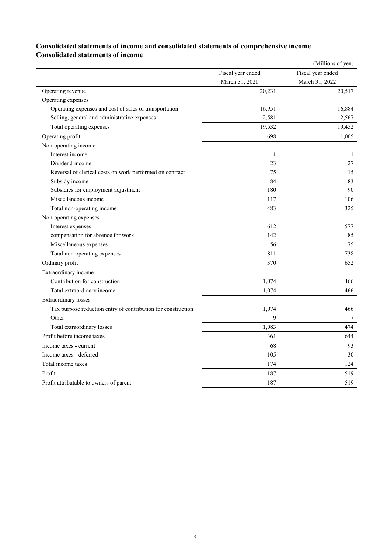# **Consolidated statements of income and consolidated statements of comprehensive income Consolidated statements of income**

|                                                              |                   | (Millions of yen) |
|--------------------------------------------------------------|-------------------|-------------------|
|                                                              | Fiscal year ended | Fiscal year ended |
|                                                              | March 31, 2021    | March 31, 2022    |
| Operating revenue                                            | 20,231            | 20,517            |
| Operating expenses                                           |                   |                   |
| Operating expenses and cost of sales of transportation       | 16,951            | 16,884            |
| Selling, general and administrative expenses                 | 2,581             | 2,567             |
| Total operating expenses                                     | 19,532            | 19,452            |
| Operating profit                                             | 698               | 1,065             |
| Non-operating income                                         |                   |                   |
| Interest income                                              | 1                 | 1                 |
| Dividend income                                              | 23                | 27                |
| Reversal of clerical costs on work performed on contract     | 75                | 15                |
| Subsidy income                                               | 84                | 83                |
| Subsidies for employment adjustment                          | 180               | 90                |
| Miscellaneous income                                         | 117               | 106               |
| Total non-operating income                                   | 483               | 325               |
| Non-operating expenses                                       |                   |                   |
| Interest expenses                                            | 612               | 577               |
| compensation for absence for work                            | 142               | 85                |
| Miscellaneous expenses                                       | 56                | 75                |
| Total non-operating expenses                                 | 811               | 738               |
| Ordinary profit                                              | 370               | 652               |
| Extraordinary income                                         |                   |                   |
| Contribution for construction                                | 1,074             | 466               |
| Total extraordinary income                                   | 1,074             | 466               |
| <b>Extraordinary losses</b>                                  |                   |                   |
| Tax purpose reduction entry of contribution for construction | 1,074             | 466               |
| Other                                                        | 9                 | 7                 |
| Total extraordinary losses                                   | 1,083             | 474               |
| Profit before income taxes                                   | 361               | 644               |
| Income taxes - current                                       | 68                | 93                |
| Income taxes - deferred                                      | 105               | 30                |
| Total income taxes                                           | 174               | 124               |
| Profit                                                       | 187               | 519               |
| Profit attributable to owners of parent                      | 187               | 519               |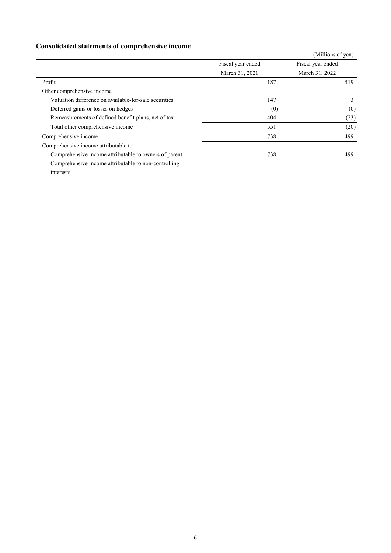# **Consolidated statements of comprehensive income**

|                                                       |                   | (Millions of yen) |
|-------------------------------------------------------|-------------------|-------------------|
|                                                       | Fiscal year ended | Fiscal year ended |
|                                                       | March 31, 2021    | March 31, 2022    |
| Profit                                                | 187               | 519               |
| Other comprehensive income                            |                   |                   |
| Valuation difference on available-for-sale securities | 147               | 3                 |
| Deferred gains or losses on hedges                    | (0)               | (0)               |
| Remeasurements of defined benefit plans, net of tax   | 404               | (23)              |
| Total other comprehensive income                      | 551               | (20)              |
| Comprehensive income                                  | 738               | 499               |
| Comprehensive income attributable to                  |                   |                   |
| Comprehensive income attributable to owners of parent | 738               | 499               |
| Comprehensive income attributable to non-controlling  |                   |                   |
| interests                                             |                   |                   |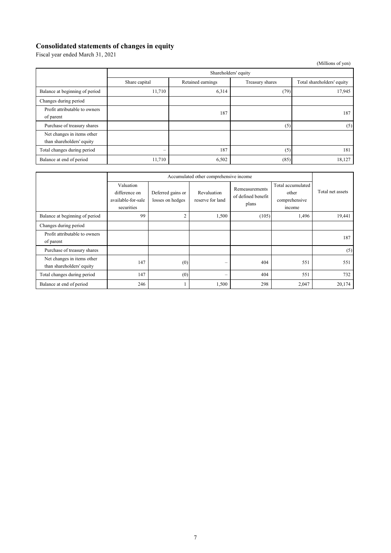### **Consolidated statements of changes in equity**

Fiscal year ended March 31, 2021

|                                                         |                                 |                   |                 | (Millions of yen)          |  |  |
|---------------------------------------------------------|---------------------------------|-------------------|-----------------|----------------------------|--|--|
|                                                         | Shareholders' equity            |                   |                 |                            |  |  |
|                                                         | Share capital                   | Retained earnings | Treasury shares | Total shareholders' equity |  |  |
| Balance at beginning of period                          | 11,710                          | 6,314             | (79)            | 17,945                     |  |  |
| Changes during period                                   |                                 |                   |                 |                            |  |  |
| Profit attributable to owners<br>of parent              |                                 | 187               |                 | 187                        |  |  |
| Purchase of treasury shares                             |                                 |                   | (5)             | (5)                        |  |  |
| Net changes in items other<br>than shareholders' equity |                                 |                   |                 |                            |  |  |
| Total changes during period                             | $\hspace{0.1mm}-\hspace{0.1mm}$ | 187               | (5)             | 181                        |  |  |
| Balance at end of period                                | 11,710                          | 6,502             | (85)            | 18,127                     |  |  |

|                                                         | Accumulated other comprehensive income                         |                                       |                                 |                                               |                                                       |                  |
|---------------------------------------------------------|----------------------------------------------------------------|---------------------------------------|---------------------------------|-----------------------------------------------|-------------------------------------------------------|------------------|
|                                                         | Valuation<br>difference on<br>available-for-sale<br>securities | Deferred gains or<br>losses on hedges | Revaluation<br>reserve for land | Remeasurements<br>of defined benefit<br>plans | Total accumulated<br>other<br>comprehensive<br>income | Total net assets |
| Balance at beginning of period                          | 99                                                             | $\overline{2}$                        | 1,500                           | (105)                                         | 1,496                                                 | 19,441           |
| Changes during period                                   |                                                                |                                       |                                 |                                               |                                                       |                  |
| Profit attributable to owners<br>of parent              |                                                                |                                       |                                 |                                               |                                                       | 187              |
| Purchase of treasury shares                             |                                                                |                                       |                                 |                                               |                                                       | (5)              |
| Net changes in items other<br>than shareholders' equity | 147                                                            | (0)                                   | $\overline{\phantom{0}}$        | 404                                           | 551                                                   | 551              |
| Total changes during period                             | 147                                                            | (0)                                   | -                               | 404                                           | 551                                                   | 732              |
| Balance at end of period                                | 246                                                            |                                       | 1,500                           | 298                                           | 2,047                                                 | 20,174           |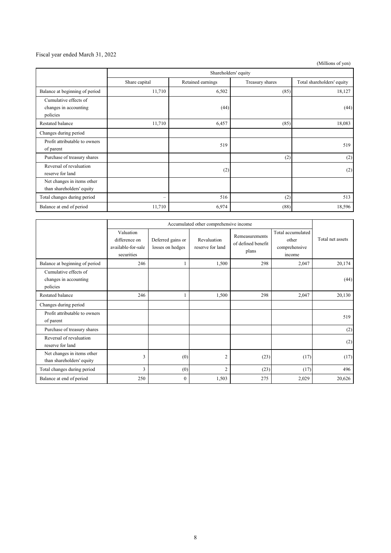### Fiscal year ended March 31, 2022

(Millions of yen)

|                                                            | Shareholders' equity     |                   |                 |                            |  |  |
|------------------------------------------------------------|--------------------------|-------------------|-----------------|----------------------------|--|--|
|                                                            | Share capital            | Retained earnings | Treasury shares | Total shareholders' equity |  |  |
| Balance at beginning of period                             | 11,710                   | 6,502             | (85)            | 18,127                     |  |  |
| Cumulative effects of<br>changes in accounting<br>policies |                          | (44)              |                 | (44)                       |  |  |
| Restated balance                                           | 11,710                   | 6,457             | (85)            | 18,083                     |  |  |
| Changes during period                                      |                          |                   |                 |                            |  |  |
| Profit attributable to owners<br>of parent                 |                          | 519               |                 | 519                        |  |  |
| Purchase of treasury shares                                |                          |                   | (2)             | (2)                        |  |  |
| Reversal of revaluation<br>reserve for land                |                          | (2)               |                 | (2)                        |  |  |
| Net changes in items other<br>than shareholders' equity    |                          |                   |                 |                            |  |  |
| Total changes during period                                | $\overline{\phantom{0}}$ | 516               | (2)             | 513                        |  |  |
| Balance at end of period                                   | 11,710                   | 6,974             | (88)            | 18,596                     |  |  |

|                                                            | Accumulated other comprehensive income                         |                                       |                                 |                                               |                                                       |                  |
|------------------------------------------------------------|----------------------------------------------------------------|---------------------------------------|---------------------------------|-----------------------------------------------|-------------------------------------------------------|------------------|
|                                                            | Valuation<br>difference on<br>available-for-sale<br>securities | Deferred gains or<br>losses on hedges | Revaluation<br>reserve for land | Remeasurements<br>of defined benefit<br>plans | Total accumulated<br>other<br>comprehensive<br>income | Total net assets |
| Balance at beginning of period                             | 246                                                            |                                       | 1,500                           | 298                                           | 2,047                                                 | 20,174           |
| Cumulative effects of<br>changes in accounting<br>policies |                                                                |                                       |                                 |                                               |                                                       | (44)             |
| <b>Restated balance</b>                                    | 246                                                            |                                       | 1,500                           | 298                                           | 2,047                                                 | 20,130           |
| Changes during period                                      |                                                                |                                       |                                 |                                               |                                                       |                  |
| Profit attributable to owners<br>of parent                 |                                                                |                                       |                                 |                                               |                                                       | 519              |
| Purchase of treasury shares                                |                                                                |                                       |                                 |                                               |                                                       | (2)              |
| Reversal of revaluation<br>reserve for land                |                                                                |                                       |                                 |                                               |                                                       | (2)              |
| Net changes in items other<br>than shareholders' equity    | 3                                                              | (0)                                   | $\overline{2}$                  | (23)                                          | (17)                                                  | (17)             |
| Total changes during period                                | $\overline{3}$                                                 | (0)                                   | $\overline{2}$                  | (23)                                          | (17)                                                  | 496              |
| Balance at end of period                                   | 250                                                            | $\mathbf{0}$                          | 1,503                           | 275                                           | 2,029                                                 | 20,626           |